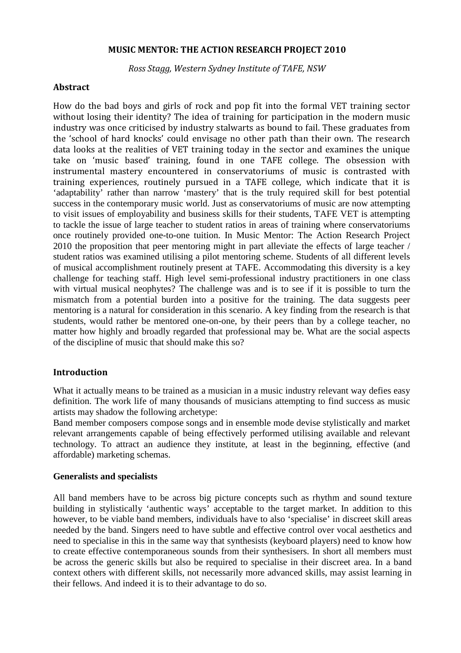### MUSIC MENTOR: THE ACTION RESEARCH PROJECT 2010

Ross Stagg, Western Sydney Institute of TAFE, NSW

## Abstract

How do the bad boys and girls of rock and pop fit into the formal VET training sector without losing their identity? The idea of training for participation in the modern music industry was once criticised by industry stalwarts as bound to fail. These graduates from the 'school of hard knocks' could envisage no other path than their own. The research data looks at the realities of VET training today in the sector and examines the unique take on 'music based' training, found in one TAFE college. The obsession with instrumental mastery encountered in conservatoriums of music is contrasted with training experiences, routinely pursued in a TAFE college, which indicate that it is 'adaptability' rather than narrow 'mastery' that is the truly required skill for best potential success in the contemporary music world. Just as conservatoriums of music are now attempting to visit issues of employability and business skills for their students, TAFE VET is attempting to tackle the issue of large teacher to student ratios in areas of training where conservatoriums once routinely provided one-to-one tuition. In Music Mentor: The Action Research Project 2010 the proposition that peer mentoring might in part alleviate the effects of large teacher / student ratios was examined utilising a pilot mentoring scheme. Students of all different levels of musical accomplishment routinely present at TAFE. Accommodating this diversity is a key challenge for teaching staff. High level semi-professional industry practitioners in one class with virtual musical neophytes? The challenge was and is to see if it is possible to turn the mismatch from a potential burden into a positive for the training. The data suggests peer mentoring is a natural for consideration in this scenario. A key finding from the research is that students, would rather be mentored one-on-one, by their peers than by a college teacher, no matter how highly and broadly regarded that professional may be. What are the social aspects of the discipline of music that should make this so?

# Introduction

What it actually means to be trained as a musician in a music industry relevant way defies easy definition. The work life of many thousands of musicians attempting to find success as music artists may shadow the following archetype:

Band member composers compose songs and in ensemble mode devise stylistically and market relevant arrangements capable of being effectively performed utilising available and relevant technology. To attract an audience they institute, at least in the beginning, effective (and affordable) marketing schemas.

## **Generalists and specialists**

All band members have to be across big picture concepts such as rhythm and sound texture building in stylistically 'authentic ways' acceptable to the target market. In addition to this however, to be viable band members, individuals have to also 'specialise' in discreet skill areas needed by the band. Singers need to have subtle and effective control over vocal aesthetics and need to specialise in this in the same way that synthesists (keyboard players) need to know how to create effective contemporaneous sounds from their synthesisers. In short all members must be across the generic skills but also be required to specialise in their discreet area. In a band context others with different skills, not necessarily more advanced skills, may assist learning in their fellows. And indeed it is to their advantage to do so.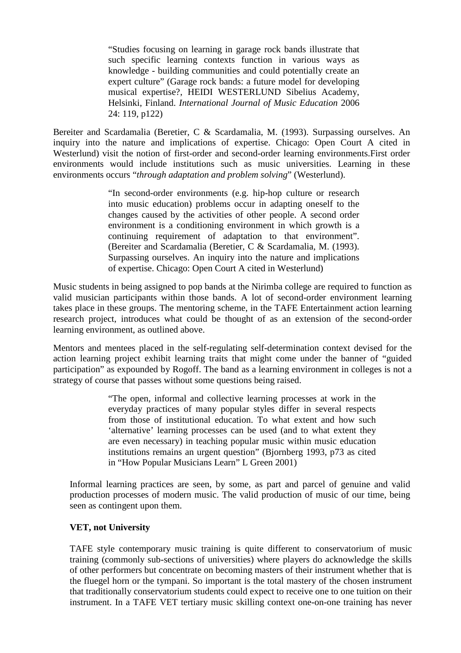"Studies focusing on learning in garage rock bands illustrate that such specific learning contexts function in various ways as knowledge - building communities and could potentially create an expert culture" (Garage rock bands: a future model for developing musical expertise?, HEIDI WESTERLUND Sibelius Academy, Helsinki, Finland. *International Journal of Music Education* 2006 24: 119, p122)

Bereiter and Scardamalia (Beretier, C & Scardamalia, M. (1993). Surpassing ourselves. An inquiry into the nature and implications of expertise. Chicago: Open Court A cited in Westerlund) visit the notion of first-order and second-order learning environments.First order environments would include institutions such as music universities. Learning in these environments occurs "*through adaptation and problem solving*" (Westerlund).

> "In second-order environments (e.g. hip-hop culture or research into music education) problems occur in adapting oneself to the changes caused by the activities of other people. A second order environment is a conditioning environment in which growth is a continuing requirement of adaptation to that environment". (Bereiter and Scardamalia (Beretier, C & Scardamalia, M. (1993). Surpassing ourselves. An inquiry into the nature and implications of expertise. Chicago: Open Court A cited in Westerlund)

Music students in being assigned to pop bands at the Nirimba college are required to function as valid musician participants within those bands. A lot of second-order environment learning takes place in these groups. The mentoring scheme, in the TAFE Entertainment action learning research project, introduces what could be thought of as an extension of the second-order learning environment, as outlined above.

Mentors and mentees placed in the self-regulating self-determination context devised for the action learning project exhibit learning traits that might come under the banner of "guided participation" as expounded by Rogoff. The band as a learning environment in colleges is not a strategy of course that passes without some questions being raised.

> "The open, informal and collective learning processes at work in the everyday practices of many popular styles differ in several respects from those of institutional education. To what extent and how such 'alternative' learning processes can be used (and to what extent they are even necessary) in teaching popular music within music education institutions remains an urgent question" (Bjornberg 1993, p73 as cited in "How Popular Musicians Learn" L Green 2001)

Informal learning practices are seen, by some, as part and parcel of genuine and valid production processes of modern music. The valid production of music of our time, being seen as contingent upon them.

## **VET, not University**

TAFE style contemporary music training is quite different to conservatorium of music training (commonly sub-sections of universities) where players do acknowledge the skills of other performers but concentrate on becoming masters of their instrument whether that is the fluegel horn or the tympani. So important is the total mastery of the chosen instrument that traditionally conservatorium students could expect to receive one to one tuition on their instrument. In a TAFE VET tertiary music skilling context one-on-one training has never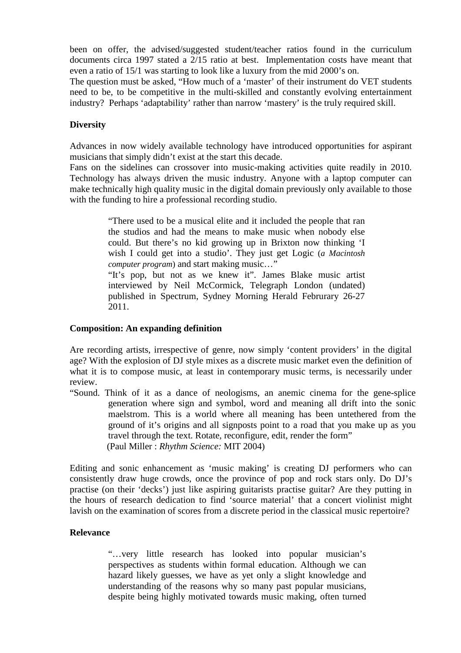been on offer, the advised/suggested student/teacher ratios found in the curriculum documents circa 1997 stated a 2/15 ratio at best. Implementation costs have meant that even a ratio of 15/1 was starting to look like a luxury from the mid 2000's on.

The question must be asked, "How much of a 'master' of their instrument do VET students need to be, to be competitive in the multi-skilled and constantly evolving entertainment industry? Perhaps 'adaptability' rather than narrow 'mastery' is the truly required skill.

## **Diversity**

Advances in now widely available technology have introduced opportunities for aspirant musicians that simply didn't exist at the start this decade.

Fans on the sidelines can crossover into music-making activities quite readily in 2010. Technology has always driven the music industry. Anyone with a laptop computer can make technically high quality music in the digital domain previously only available to those with the funding to hire a professional recording studio.

> "There used to be a musical elite and it included the people that ran the studios and had the means to make music when nobody else could. But there's no kid growing up in Brixton now thinking 'I wish I could get into a studio'. They just get Logic (*a Macintosh computer program*) and start making music…" "It's pop, but not as we knew it". James Blake music artist interviewed by Neil McCormick, Telegraph London (undated) published in Spectrum, Sydney Morning Herald Februrary 26-27 2011.

### **Composition: An expanding definition**

Are recording artists, irrespective of genre, now simply 'content providers' in the digital age? With the explosion of DJ style mixes as a discrete music market even the definition of what it is to compose music, at least in contemporary music terms, is necessarily under review.

"Sound. Think of it as a dance of neologisms, an anemic cinema for the gene-splice generation where sign and symbol, word and meaning all drift into the sonic maelstrom. This is a world where all meaning has been untethered from the ground of it's origins and all signposts point to a road that you make up as you travel through the text. Rotate, reconfigure, edit, render the form" (Paul Miller : *Rhythm Science:* MIT 2004)

Editing and sonic enhancement as 'music making' is creating DJ performers who can consistently draw huge crowds, once the province of pop and rock stars only. Do DJ's practise (on their 'decks') just like aspiring guitarists practise guitar? Are they putting in the hours of research dedication to find 'source material' that a concert violinist might lavish on the examination of scores from a discrete period in the classical music repertoire?

### **Relevance**

"…very little research has looked into popular musician's perspectives as students within formal education. Although we can hazard likely guesses, we have as yet only a slight knowledge and understanding of the reasons why so many past popular musicians, despite being highly motivated towards music making, often turned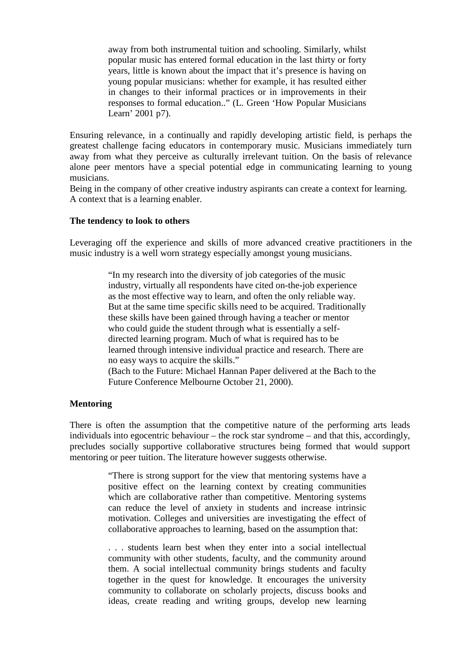away from both instrumental tuition and schooling. Similarly, whilst popular music has entered formal education in the last thirty or forty years, little is known about the impact that it's presence is having on young popular musicians: whether for example, it has resulted either in changes to their informal practices or in improvements in their responses to formal education.." (L. Green 'How Popular Musicians Learn' 2001 p7).

Ensuring relevance, in a continually and rapidly developing artistic field, is perhaps the greatest challenge facing educators in contemporary music. Musicians immediately turn away from what they perceive as culturally irrelevant tuition. On the basis of relevance alone peer mentors have a special potential edge in communicating learning to young musicians.

Being in the company of other creative industry aspirants can create a context for learning. A context that is a learning enabler.

### **The tendency to look to others**

Leveraging off the experience and skills of more advanced creative practitioners in the music industry is a well worn strategy especially amongst young musicians.

> "In my research into the diversity of job categories of the music industry, virtually all respondents have cited on-the-job experience as the most effective way to learn, and often the only reliable way. But at the same time specific skills need to be acquired. Traditionally these skills have been gained through having a teacher or mentor who could guide the student through what is essentially a selfdirected learning program. Much of what is required has to be learned through intensive individual practice and research. There are no easy ways to acquire the skills." (Bach to the Future: Michael Hannan Paper delivered at the Bach to the Future Conference Melbourne October 21, 2000).

#### **Mentoring**

There is often the assumption that the competitive nature of the performing arts leads individuals into egocentric behaviour – the rock star syndrome – and that this, accordingly, precludes socially supportive collaborative structures being formed that would support mentoring or peer tuition. The literature however suggests otherwise.

> "There is strong support for the view that mentoring systems have a positive effect on the learning context by creating communities which are collaborative rather than competitive. Mentoring systems can reduce the level of anxiety in students and increase intrinsic motivation. Colleges and universities are investigating the effect of collaborative approaches to learning, based on the assumption that:

> . . . students learn best when they enter into a social intellectual community with other students, faculty, and the community around them. A social intellectual community brings students and faculty together in the quest for knowledge. It encourages the university community to collaborate on scholarly projects, discuss books and ideas, create reading and writing groups, develop new learning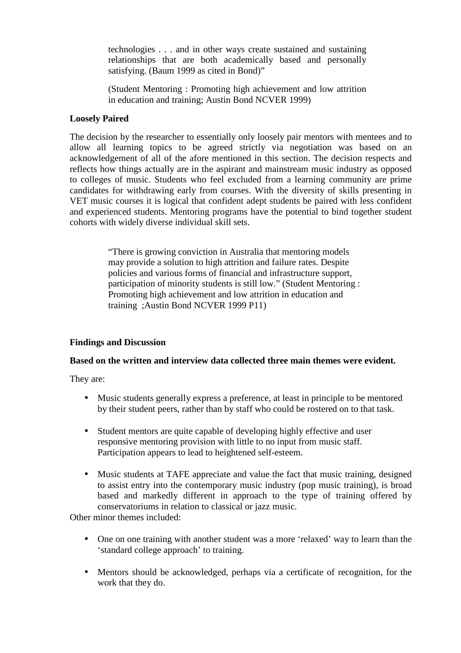technologies . . . and in other ways create sustained and sustaining relationships that are both academically based and personally satisfying. (Baum 1999 as cited in Bond)"

(Student Mentoring : Promoting high achievement and low attrition in education and training; Austin Bond NCVER 1999)

## **Loosely Paired**

The decision by the researcher to essentially only loosely pair mentors with mentees and to allow all learning topics to be agreed strictly via negotiation was based on an acknowledgement of all of the afore mentioned in this section. The decision respects and reflects how things actually are in the aspirant and mainstream music industry as opposed to colleges of music. Students who feel excluded from a learning community are prime candidates for withdrawing early from courses. With the diversity of skills presenting in VET music courses it is logical that confident adept students be paired with less confident and experienced students. Mentoring programs have the potential to bind together student cohorts with widely diverse individual skill sets.

> "There is growing conviction in Australia that mentoring models may provide a solution to high attrition and failure rates. Despite policies and various forms of financial and infrastructure support, participation of minority students is still low." (Student Mentoring : Promoting high achievement and low attrition in education and training ;Austin Bond NCVER 1999 P11)

## **Findings and Discussion**

## **Based on the written and interview data collected three main themes were evident.**

They are:

- Music students generally express a preference, at least in principle to be mentored by their student peers, rather than by staff who could be rostered on to that task.
- Student mentors are quite capable of developing highly effective and user responsive mentoring provision with little to no input from music staff. Participation appears to lead to heightened self-esteem.
- Music students at TAFE appreciate and value the fact that music training, designed to assist entry into the contemporary music industry (pop music training), is broad based and markedly different in approach to the type of training offered by conservatoriums in relation to classical or jazz music.

Other minor themes included:

- One on one training with another student was a more 'relaxed' way to learn than the 'standard college approach' to training.
- Mentors should be acknowledged, perhaps via a certificate of recognition, for the work that they do.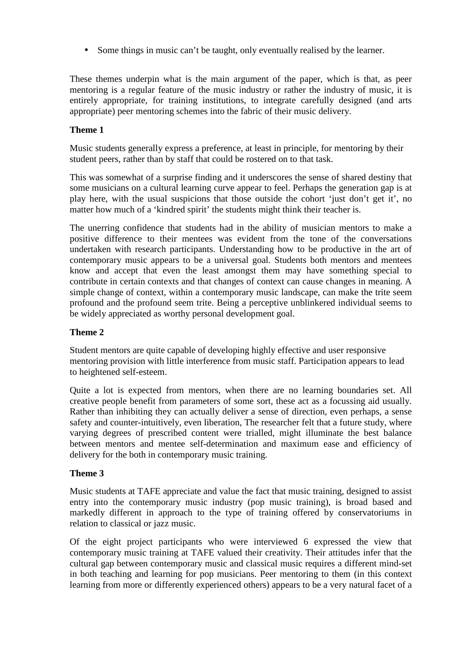• Some things in music can't be taught, only eventually realised by the learner.

These themes underpin what is the main argument of the paper, which is that, as peer mentoring is a regular feature of the music industry or rather the industry of music, it is entirely appropriate, for training institutions, to integrate carefully designed (and arts appropriate) peer mentoring schemes into the fabric of their music delivery.

# **Theme 1**

Music students generally express a preference, at least in principle, for mentoring by their student peers, rather than by staff that could be rostered on to that task.

This was somewhat of a surprise finding and it underscores the sense of shared destiny that some musicians on a cultural learning curve appear to feel. Perhaps the generation gap is at play here, with the usual suspicions that those outside the cohort 'just don't get it', no matter how much of a 'kindred spirit' the students might think their teacher is.

The unerring confidence that students had in the ability of musician mentors to make a positive difference to their mentees was evident from the tone of the conversations undertaken with research participants. Understanding how to be productive in the art of contemporary music appears to be a universal goal. Students both mentors and mentees know and accept that even the least amongst them may have something special to contribute in certain contexts and that changes of context can cause changes in meaning. A simple change of context, within a contemporary music landscape, can make the trite seem profound and the profound seem trite. Being a perceptive unblinkered individual seems to be widely appreciated as worthy personal development goal.

# **Theme 2**

Student mentors are quite capable of developing highly effective and user responsive mentoring provision with little interference from music staff. Participation appears to lead to heightened self-esteem.

Quite a lot is expected from mentors, when there are no learning boundaries set. All creative people benefit from parameters of some sort, these act as a focussing aid usually. Rather than inhibiting they can actually deliver a sense of direction, even perhaps, a sense safety and counter-intuitively, even liberation, The researcher felt that a future study, where varying degrees of prescribed content were trialled, might illuminate the best balance between mentors and mentee self-determination and maximum ease and efficiency of delivery for the both in contemporary music training.

# **Theme 3**

Music students at TAFE appreciate and value the fact that music training, designed to assist entry into the contemporary music industry (pop music training), is broad based and markedly different in approach to the type of training offered by conservatoriums in relation to classical or jazz music.

Of the eight project participants who were interviewed 6 expressed the view that contemporary music training at TAFE valued their creativity. Their attitudes infer that the cultural gap between contemporary music and classical music requires a different mind-set in both teaching and learning for pop musicians. Peer mentoring to them (in this context learning from more or differently experienced others) appears to be a very natural facet of a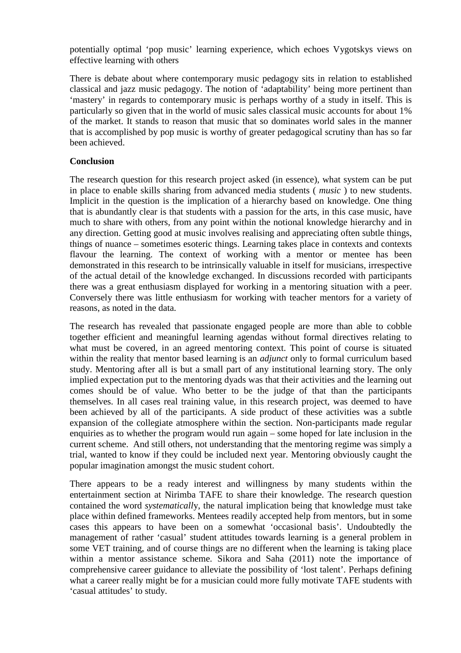potentially optimal 'pop music' learning experience, which echoes Vygotskys views on effective learning with others

There is debate about where contemporary music pedagogy sits in relation to established classical and jazz music pedagogy. The notion of 'adaptability' being more pertinent than 'mastery' in regards to contemporary music is perhaps worthy of a study in itself. This is particularly so given that in the world of music sales classical music accounts for about 1% of the market. It stands to reason that music that so dominates world sales in the manner that is accomplished by pop music is worthy of greater pedagogical scrutiny than has so far been achieved.

# **Conclusion**

The research question for this research project asked (in essence), what system can be put in place to enable skills sharing from advanced media students ( *music* ) to new students. Implicit in the question is the implication of a hierarchy based on knowledge. One thing that is abundantly clear is that students with a passion for the arts, in this case music, have much to share with others, from any point within the notional knowledge hierarchy and in any direction. Getting good at music involves realising and appreciating often subtle things, things of nuance – sometimes esoteric things. Learning takes place in contexts and contexts flavour the learning. The context of working with a mentor or mentee has been demonstrated in this research to be intrinsically valuable in itself for musicians, irrespective of the actual detail of the knowledge exchanged. In discussions recorded with participants there was a great enthusiasm displayed for working in a mentoring situation with a peer. Conversely there was little enthusiasm for working with teacher mentors for a variety of reasons, as noted in the data.

The research has revealed that passionate engaged people are more than able to cobble together efficient and meaningful learning agendas without formal directives relating to what must be covered, in an agreed mentoring context. This point of course is situated within the reality that mentor based learning is an *adjunct* only to formal curriculum based study. Mentoring after all is but a small part of any institutional learning story. The only implied expectation put to the mentoring dyads was that their activities and the learning out comes should be of value. Who better to be the judge of that than the participants themselves. In all cases real training value, in this research project, was deemed to have been achieved by all of the participants. A side product of these activities was a subtle expansion of the collegiate atmosphere within the section. Non-participants made regular enquiries as to whether the program would run again – some hoped for late inclusion in the current scheme. And still others, not understanding that the mentoring regime was simply a trial, wanted to know if they could be included next year. Mentoring obviously caught the popular imagination amongst the music student cohort.

There appears to be a ready interest and willingness by many students within the entertainment section at Nirimba TAFE to share their knowledge. The research question contained the word *systematicall*y, the natural implication being that knowledge must take place within defined frameworks. Mentees readily accepted help from mentors, but in some cases this appears to have been on a somewhat 'occasional basis'. Undoubtedly the management of rather 'casual' student attitudes towards learning is a general problem in some VET training, and of course things are no different when the learning is taking place within a mentor assistance scheme. Sikora and Saha (2011) note the importance of comprehensive career guidance to alleviate the possibility of 'lost talent'. Perhaps defining what a career really might be for a musician could more fully motivate TAFE students with 'casual attitudes' to study.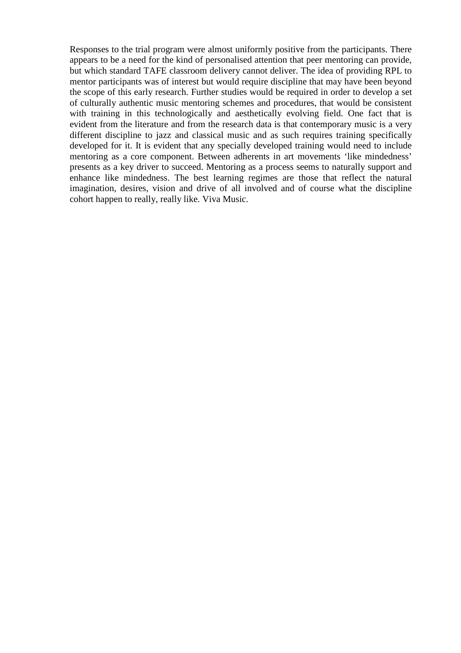Responses to the trial program were almost uniformly positive from the participants. There appears to be a need for the kind of personalised attention that peer mentoring can provide, but which standard TAFE classroom delivery cannot deliver. The idea of providing RPL to mentor participants was of interest but would require discipline that may have been beyond the scope of this early research. Further studies would be required in order to develop a set of culturally authentic music mentoring schemes and procedures, that would be consistent with training in this technologically and aesthetically evolving field. One fact that is evident from the literature and from the research data is that contemporary music is a very different discipline to jazz and classical music and as such requires training specifically developed for it. It is evident that any specially developed training would need to include mentoring as a core component. Between adherents in art movements 'like mindedness' presents as a key driver to succeed. Mentoring as a process seems to naturally support and enhance like mindedness. The best learning regimes are those that reflect the natural imagination, desires, vision and drive of all involved and of course what the discipline cohort happen to really, really like. Viva Music.